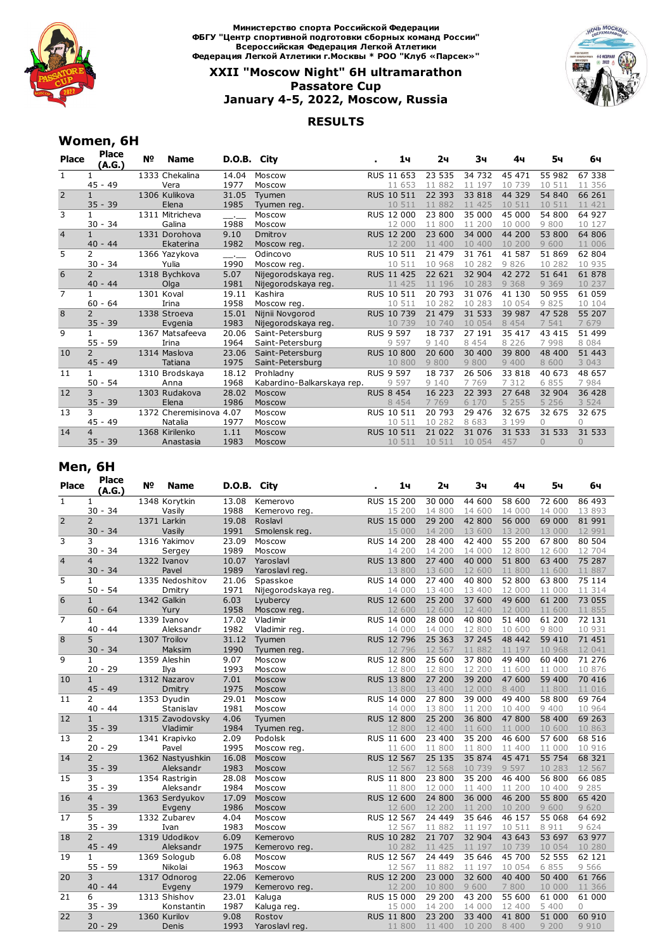

**Министерство спорта Российской Федерации ФБГУ "Центр спортивной подготовки сборных команд России" Всероссийская Федерация Легкой Атлетики Федерация Легкой Атлетики г.Москвы \* РОО "Клуб «Парсек»"**

## **XXII "Moscow Night" 6H ultramarathon Passatore Cup January 4-5, 2022, Moscow, Russia**

### **RESULTS**



# **Women, 6H**

| <b>Place</b>   | <b>Place</b><br>(A.G.)               | N <sub>o</sub> | Name               | D.O.B. | City                       | 1ч                | 2ч      | 3ч      | 4ч      | 5ч       | 6ч       |
|----------------|--------------------------------------|----------------|--------------------|--------|----------------------------|-------------------|---------|---------|---------|----------|----------|
| 1              |                                      |                | 1333 Chekalina     | 14.04  | Moscow                     | RUS 11 653        | 23 535  | 34 732  | 45 471  | 55 982   | 67 338   |
|                | 45<br>$-49$                          |                | Vera               | 1977   | Moscow                     | 11 653            | 11 882  | 11 197  | 10 739  | 10 511   | 11 356   |
| $\overline{2}$ | $\mathbf{1}$                         |                | 1306 Kulikova      | 31.05  | Tyumen                     | RUS 10 511        | 22 393  | 33 818  | 44 329  | 54 840   | 66 261   |
|                | $35 - 39$                            |                | Elena              | 1985   | Tyumen reg.                | 10 511            | 11 882  | 11 425  | 10 511  | 10 511   | 11 421   |
| 3              | 1                                    |                | 1311 Mitricheva    |        | Moscow                     | RUS 12 000        | 23 800  | 35 000  | 45 000  | 54 800   | 64 927   |
|                | 34<br>30<br>$\overline{\phantom{a}}$ |                | Galina             | 1988   | Moscow                     | 12 000            | 11 800  | 11 200  | 10 000  | 9800     | 10 127   |
| $\overline{4}$ | $\mathbf{1}$                         |                | 1331 Dorohova      | 9.10   | Dmitrov                    | <b>RUS 12 200</b> | 23 600  | 34 000  | 44 200  | 53 800   | 64 806   |
|                | $40 - 44$                            |                | Ekaterina          | 1982   | Moscow reg.                | 12 200            | 11 400  | 10 400  | 10 200  | 9 600    | 11 006   |
| 5              | 2                                    |                | 1366 Yazykova      | $\sim$ | Odincovo                   | RUS 10 511        | 21 479  | 31 761  | 41 587  | 51 869   | 62 804   |
|                | 34<br>$30 -$                         |                | Yulia              | 1990   | Moscow reg.                | 10 511            | 10 968  | 10 282  | 9826    | 10 282   | 10 935   |
| 6              | $\overline{2}$                       |                | 1318 Bychkova      | 5.07   | Nijegorodskaya reg.        | RUS 11 425        | 22 621  | 32 904  | 42 272  | 51 641   | 61 878   |
|                | $40 - 44$                            |                | Olga               | 1981   | Nijegorodskaya reg.        | 11 425            | 11 196  | 10 283  | 9 3 6 8 | 9 3 6 9  | 10 237   |
| $\overline{7}$ | $\mathbf{1}$                         |                | 1301 Koval         | 19.11  | Kashira                    | RUS 10 511        | 20 793  | 31 076  | 41 130  | 50 955   | 61 059   |
|                | $-64$<br>60                          |                | Irina              | 1958   | Moscow reg.                | 10 511            | 10 282  | 10 283  | 10 0 54 | 9825     | 10 104   |
| 8              | $\overline{2}$                       |                | 1338 Stroeva       | 15.01  | Nijnii Novgorod            | RUS 10 739        | 21 479  | 31 533  | 39 987  | 47 528   | 55 207   |
|                | $35 - 39$                            |                | Evgenia            | 1983   | Nijegorodskaya reg.        | 10 739            | 10 740  | 10 054  | 8 4 5 4 | 7 541    | 7679     |
| 9              | $\mathbf{1}$                         |                | 1367 Matsafeeva    | 20.06  | Saint-Petersburg           | <b>RUS 9 597</b>  | 18 737  | 27 191  | 35 417  | 43 415   | 51 499   |
|                | $55 - 59$                            |                | Irina              | 1964   | Saint-Petersburg           | 9 5 9 7           | 9 1 4 0 | 8 4 5 4 | 8 2 2 6 | 7998     | 8 0 8 4  |
| 10             | $\overline{2}$                       |                | 1314 Maslova       | 23.06  | Saint-Petersburg           | <b>RUS 10 800</b> | 20 600  | 30 400  | 39 800  | 48 400   | 51 443   |
|                | $45 - 49$                            |                | Tatiana            | 1975   | Saint-Petersburg           | 10 800            | 9800    | 9800    | 9 4 0 0 | 8 600    | 3 0 4 3  |
| 11             | $\mathbf{1}$                         |                | 1310 Brodskaya     | 18.12  | Prohladny                  | <b>RUS 9 597</b>  | 18 737  | 26 506  | 33 818  | 40 673   | 48 657   |
|                | $50 - 54$                            |                | Anna               | 1968   | Kabardino-Balkarskaya rep. | 9 5 9 7           | 9 1 4 0 | 7 7 6 9 | 7 3 1 2 | 6 8 5 5  | 7984     |
| 12             | 3                                    |                | 1303 Rudakova      | 28.02  | Moscow                     | <b>RUS 8 454</b>  | 16 223  | 22 393  | 27 648  | 32 904   | 36 428   |
|                | $35 - 39$                            |                | Elena              | 1986   | Moscow                     | 8 4 5 4           | 7 7 6 9 | 6 170   | 5 2 5 5 | 5 2 5 6  | 3 5 2 4  |
| 13             | 3                                    |                | 1372 Cheremisinova | 4.07   | Moscow                     | RUS 10 511        | 20 793  | 29 476  | 32 675  | 32 675   | 32 675   |
|                | $45 - 49$                            |                | Natalia            | 1977   | Moscow                     | 10 511            | 10 282  | 8 683   | 3 199   | $\Omega$ | $\cap$   |
| 14             | $\overline{4}$                       |                | 1368 Kirilenko     | 1.11   | Moscow                     | <b>RUS 10 511</b> | 21 022  | 31 0 76 | 31 533  | 31 533   | 31 533   |
|                | $35 - 39$                            |                | Anastasia          | 1983   | Moscow                     | 10 511            | 10 511  | 10 054  | 457     | $\Omega$ | $\Omega$ |

# **Men, 6H**

| <b>Place</b>   | <b>Place</b><br>(A.G.) | Nº | Name             | D.O.B. City |                     | 1ч                | 2ч     | 3ч     | 4ч      | 5ч      | 6ч       |
|----------------|------------------------|----|------------------|-------------|---------------------|-------------------|--------|--------|---------|---------|----------|
| $\mathbf{1}$   | 1                      |    | 1348 Korytkin    | 13.08       | Kemerovo            | RUS 15 200        | 30 000 | 44 600 | 58 600  | 72 600  | 86 493   |
|                | $30 - 34$              |    | Vasily           | 1988        | Kemerovo reg.       | 15 200            | 14 800 | 14 600 | 14 000  | 14 000  | 13 893   |
| $\overline{2}$ | $\overline{2}$         |    | 1371 Larkin      | 19.08       | Roslavl             | <b>RUS 15 000</b> | 29 200 | 42 800 | 56 000  | 69 000  | 81 991   |
|                | $30 - 34$              |    | Vasily           | 1991        | Smolensk reg.       | 15 000            | 14 200 | 13 600 | 13 200  | 13 000  | 12 991   |
| 3              | 3                      |    | 1316 Yakimov     | 23.09       | Moscow              | RUS 14 200        | 28 400 | 42 400 | 55 200  | 67800   | 80 504   |
|                | $30 - 34$              |    | Sergey           | 1989        | Moscow              | 14 200            | 14 200 | 14 000 | 12 800  | 12 600  | 12 704   |
| $\overline{4}$ | $\overline{4}$         |    | 1322 Ivanov      | 10.07       | Yaroslavl           | RUS 13 800        | 27 400 | 40 000 | 51 800  | 63 400  | 75 287   |
|                | $30 - 34$              |    | Pavel            | 1989        | Yaroslavl reg.      | 13 800            | 13 600 | 12 600 | 11 800  | 11 600  | 11 887   |
| 5              | 1                      |    | 1335 Nedoshitov  | 21.06       | Spasskoe            | RUS 14 000        | 27 400 | 40 800 | 52 800  | 63 800  | 75 114   |
|                | $50 - 54$              |    | Dmitry           | 1971        | Nijegorodskaya reg. | 14 000            | 13 400 | 13 400 | 12 000  | 11 000  | 11 314   |
| 6              | $\mathbf{1}$           |    | 1342 Galkin      | 6.03        | Lyubercy            | RUS 12 600        | 25 200 | 37 600 | 49 600  | 61 200  | 73 055   |
|                | $60 - 64$              |    | Yury             | 1958        | Moscow reg.         | 12 600            | 12 600 | 12 400 | 12 000  | 11 600  | 11 855   |
| $\overline{7}$ | $\mathbf{1}$           |    | 1339 Ivanov      | 17.02       | Vladimir            | RUS 14 000        | 28 000 | 40 800 | 51 400  | 61 200  | 72 131   |
|                | $40 - 44$              |    | Aleksandr        | 1982        | Vladimir reg.       | 14 000            | 14 000 | 12 800 | 10 600  | 9 800   | 10 931   |
| 8              | 5                      |    | 1307 Troilov     | 31.12       | Tyumen              | RUS 12 796        | 25 363 | 37 245 | 48 442  | 59 410  | 71 451   |
|                | $30 - 34$              |    | Maksim           | 1990        | Tyumen reg.         | 12 796            | 12 567 | 11 882 | 11 197  | 10 968  | 12 041   |
| 9              | 1                      |    | 1359 Aleshin     | 9.07        | Moscow              | RUS 12 800        | 25 600 | 37 800 | 49 400  | 60 400  | 71 276   |
|                | $20 - 29$              |    | Ilya             | 1993        | Moscow              | 12 800            | 12 800 | 12 200 | 11 600  | 11 000  | 10 876   |
| 10             | $\mathbf{1}$           |    | 1312 Nazarov     | 7.01        | Moscow              | RUS 13 800        | 27 200 | 39 200 | 47 600  | 59 400  | 70 416   |
|                | $45 - 49$              |    | Dmitry           | 1975        | Moscow              | 13 800            | 13 400 | 12 000 | 8 4 0 0 | 11 800  | 11 016   |
| 11             | $\overline{2}$         |    | 1353 Dyudin      | 29.01       | Moscow              | <b>RUS 14 000</b> | 27 800 | 39 000 | 49 400  | 58 800  | 69 764   |
|                | $40 - 44$              |    | Stanislav        | 1981        | Moscow              | 14 000            | 13 800 | 11 200 | 10 400  | 9 4 0 0 | 10 964   |
| 12             | $\mathbf{1}$           |    | 1315 Zavodovsky  | 4.06        | Tyumen              | <b>RUS 12 800</b> | 25 200 | 36 800 | 47800   | 58 400  | 69 263   |
|                | $35 - 39$              |    | Vladimir         | 1984        | Tyumen reg.         | 12 800            | 12 400 | 11 600 | 11 000  | 10 600  | 10 863   |
| 13             | 2                      |    | 1341 Krapivko    | 2.09        | Podolsk             | RUS 11 600        | 23 400 | 35 200 | 46 600  | 57 600  | 68 516   |
|                | $20 - 29$              |    | Pavel            | 1995        | Moscow_reg.         | 11 600            | 11 800 | 11 800 | 11 400  | 11 000  | 10 916   |
| 14             | $\overline{2}$         |    | 1362 Nastyushkin | 16.08       | Moscow              | RUS 12 567        | 25 135 | 35 874 | 45 471  | 55 754  | 68 321   |
|                | $35 - 39$              |    | Aleksandr        | 1983        | Moscow              | 12 567            | 12 568 | 10 739 | 9 5 9 7 | 10 283  | 12 567   |
| 15             | 3                      |    | 1354 Rastrigin   | 28.08       | Moscow              | RUS 11 800        | 23 800 | 35 200 | 46 400  | 56 800  | 66 085   |
|                | $35 - 39$              |    | Aleksandr        | 1984        | Moscow              | 11 800            | 12 000 | 11 400 | 11 200  | 10 400  | 9 2 8 5  |
| 16             | $\overline{4}$         |    | 1363 Serdyukov   | 17.09       | Moscow              | RUS 12 600        | 24 800 | 36 000 | 46 200  | 55 800  | 65 420   |
|                | $35 - 39$              |    | Evgeny           | 1986        | Moscow              | 12 600            | 12 200 | 11 200 | 10 200  | 9 600   | 9 6 20   |
| 17             | 5.                     |    | 1332 Zubarev     | 4.04        | Moscow              | RUS 12 567        | 24 449 | 35 646 | 46 157  | 55 068  | 64 692   |
|                | $35 - 39$              |    | Ivan             | 1983        | Moscow              | 12 567            | 11 882 | 11 197 | 10 511  | 8 9 1 1 | 9 6 2 4  |
| 18             | $\overline{2}$         |    | 1319 Udodikov    | 6.09        | Kemerovo            | RUS 10 282        | 21 707 | 32 904 | 43 643  | 53 697  | 63 977   |
|                | $45 - 49$              |    | Aleksandr        | 1975        | Kemerovo reg.       | 10 282            | 11 425 | 11 197 | 10 739  | 10 0 54 | 10 280   |
| 19             | $\mathbf{1}$           |    | 1369 Sologub     | 6.08        | Moscow              | RUS 12 567        | 24 449 | 35 646 | 45 700  | 52 555  | 62 121   |
|                | $55 - 59$              |    | Nikolai          | 1963        | Moscow              | 12 567            | 11 882 | 11 197 | 10 0 54 | 6 8 5 5 | 9 5 6 6  |
| 20             | 3                      |    | 1317 Odnorog     | 22.06       | Kemerovo            | <b>RUS 12 200</b> | 23 000 | 32 600 | 40 400  | 50 400  | 61 766   |
|                | $40 - 44$              |    | Evgeny           | 1979        | Kemerovo reg.       | 12 200            | 10 800 | 9 600  | 7 800   | 10 000  | 11 366   |
| 21             | 6                      |    | 1313 Shishov     | 23.01       | Kaluga              | RUS 15 000        | 29 200 | 43 200 | 55 600  | 61 000  | 61 000   |
|                | $35 - 39$              |    | Konstantin       | 1987        | Kaluga reg.         | 15 000            | 14 200 | 14 000 | 12 400  | 5 400   | $\Omega$ |
| 22             | 3                      |    | 1360 Kurilov     | 9.08        | Rostov              | <b>RUS 11 800</b> | 23 200 | 33 400 | 41 800  | 51 000  | 60 910   |
|                | $20 - 29$              |    | Denis            | 1993        | Yaroslavl reg.      | 11 800            | 11 400 | 10 200 | 8 400   | 9 200   | 9 9 1 0  |